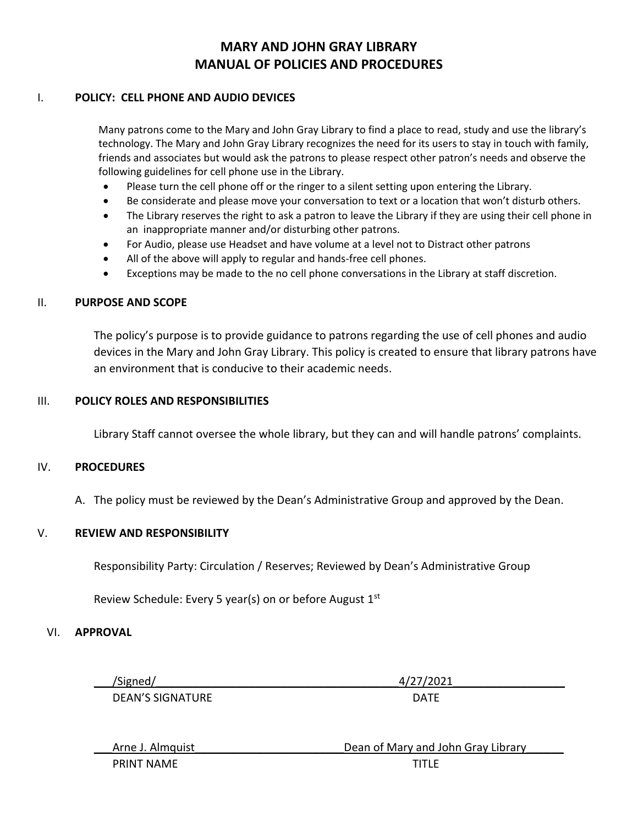## **MARY AND JOHN GRAY LIBRARY MANUAL OF POLICIES AND PROCEDURES**

## I. **POLICY: CELL PHONE AND AUDIO DEVICES**

Many patrons come to the Mary and John Gray Library to find a place to read, study and use the library's technology. The Mary and John Gray Library recognizes the need for its users to stay in touch with family, friends and associates but would ask the patrons to please respect other patron's needs and observe the following guidelines for cell phone use in the Library.

- Please turn the cell phone off or the ringer to a silent setting upon entering the Library.
- Be considerate and please move your conversation to text or a location that won't disturb others.
- The Library reserves the right to ask a patron to leave the Library if they are using their cell phone in an inappropriate manner and/or disturbing other patrons.
- For Audio, please use Headset and have volume at a level not to Distract other patrons
- All of the above will apply to regular and hands-free cell phones.
- Exceptions may be made to the no cell phone conversations in the Library at staff discretion.

## II. **PURPOSE AND SCOPE**

The policy's purpose is to provide guidance to patrons regarding the use of cell phones and audio devices in the Mary and John Gray Library. This policy is created to ensure that library patrons have an environment that is conducive to their academic needs.

#### III. **POLICY ROLES AND RESPONSIBILITIES**

Library Staff cannot oversee the whole library, but they can and will handle patrons' complaints.

#### IV. **PROCEDURES**

A. The policy must be reviewed by the Dean's Administrative Group and approved by the Dean.

## V. **REVIEW AND RESPONSIBILITY**

Responsibility Party: Circulation / Reserves; Reviewed by Dean's Administrative Group

Review Schedule: Every 5 year(s) on or before August 1st

#### VI. **APPROVAL**

\_\_\_/Signed/\_\_\_\_\_\_\_\_\_\_\_\_\_\_\_\_\_\_\_\_\_\_\_\_\_\_\_\_\_\_\_\_\_\_\_\_\_\_\_4/27/2021\_\_\_\_\_\_\_\_\_\_\_\_\_\_\_\_\_\_

DEAN'S SIGNATURE DATE

| Arne J. Almquist  | Dean of Mary and John Gray Library |
|-------------------|------------------------------------|
| <b>PRINT NAME</b> | <b>TITI F</b>                      |